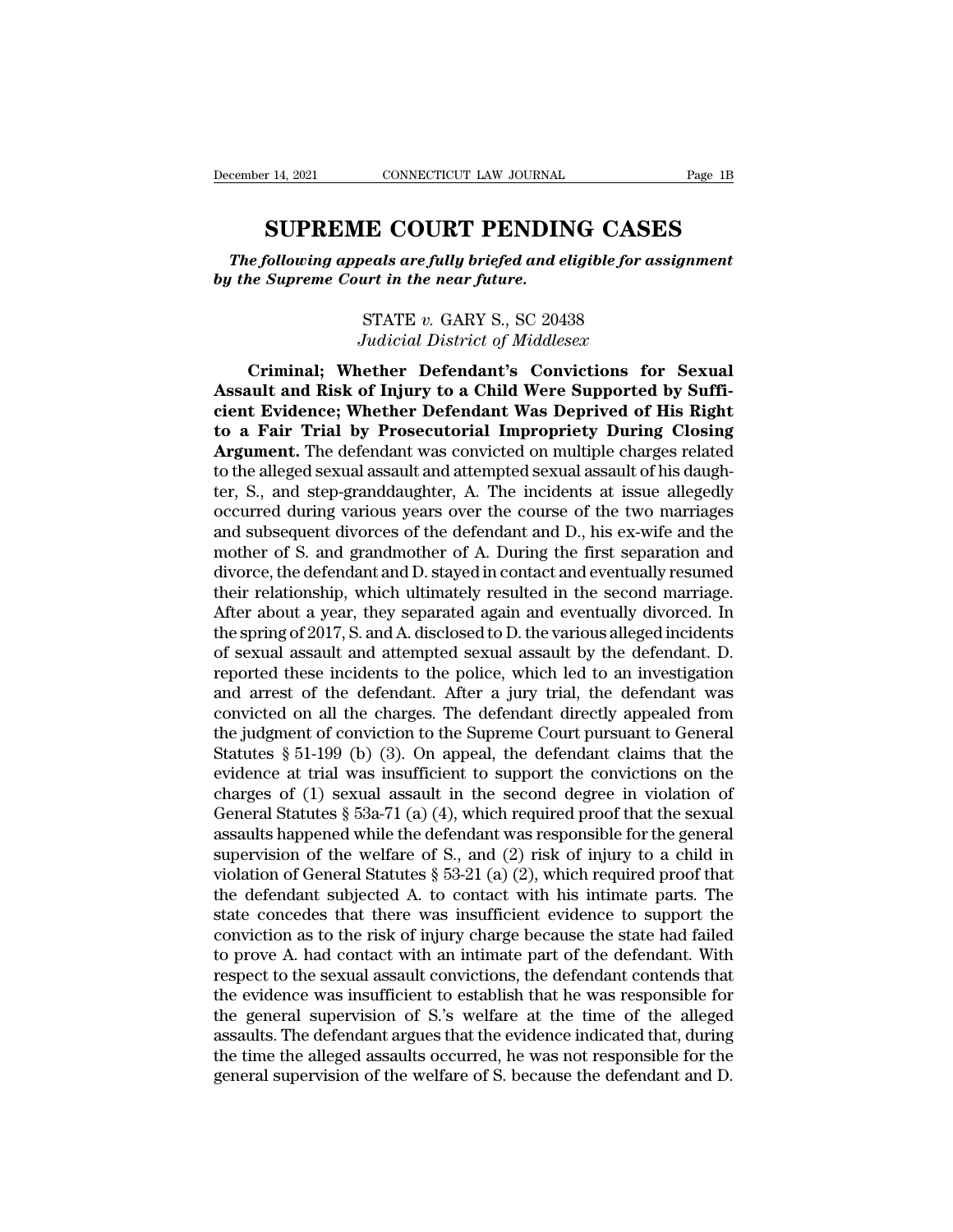<sup>r 14, 2021</sup> CONNECTICUT LAW JOURNAL Page 1B<br> **SUPREME COURT PENDING CASES**<br>
Following appeals are fully briefed and eligible for assignment<br>
Supreme Court in the near future. *The following appeals are fully briefed and eligible for assignment*<br> *The following appeals are fully briefed and eligible for assignment*<br> *The Supreme Court in the near future. becember 14, 2021 CONNECTICUT LAW JOURNAL*<br> **SUPREME COURT PENDIN**<br> *The following appeals are fully briefed and e*<br> *by the Supreme Court in the near future.*<br>  $\sum_{n=1}^{\infty}$ **E COURT PENDING CASE**<br> **eals are fully briefed and eligible for as**<br>
urt in the near future.<br>
STATE v. GARY S., SC 20438<br>
Iudicial District of Middlesex **IE COURT PENDING CASES**<br> *peals are fully briefed and eligible for assi*<br> *urt in the near future.*<br> *STATE v. GARY S., SC 20438*<br> *Judicial District of Middlesex*<br> **nether Defendant's Convictions for** 

e following appeals are fully briefed and eligible for assignment<br>
he Supreme Court in the near future.<br>
STATE v. GARY S., SC 20438<br> *Judicial District of Middlesex*<br>
Criminal; Whether Defendant's Convictions for Sexual<br>
a *Associate Supreme Court in the near future.*<br>
By the Supreme Court in the near future.<br>
STATE v. GARY S., SC 20438<br> *Associal District of Middlesex*<br>
Criminal; Whether Defendant's Convictions for Sexual<br>
Assault and Risk **compressed of the Heart Start Schools**<br>
STATE v. GARY S., SC 20438<br> *Judicial District of Middlesex*<br> **Criminal; Whether Defendant's Convictions for Sexual**<br> **Assault and Risk of Injury to a Child Were Supported by Suffito a Fair S. SC 20438**<br> **to a Fair Conviction State of Middlesex**<br> **to a Fair Indial Bisk of Injury to a Child Were Supported by Sufficient Evidence; Whether Defendant Was Deprived of His Right<br>
to a Fair Trial by Prosecu** *Arthurdong Mudicial District of Middlesex*<br>
Criminal; Whether Defendant's Convictions for Sexual<br>
Assault and Risk of Injury to a Child Were Supported by Suffi-<br>
cient Evidence; Whether Defendant Was Deprived of His Right Griminal; Whether Defendant's Convictions for Sexual<br>Assault and Risk of Injury to a Child Were Supported by Suffi-<br>cient Evidence; Whether Defendant Was Deprived of His Right<br>to a Fair Trial by Prosecutorial Impropriety D Criminal; Whether Defendant's Convictions for Sexual<br>Assault and Risk of Injury to a Child Were Supported by Suffi-<br>cient Evidence; Whether Defendant Was Deprived of His Right<br>to a Fair Trial by Prosecutorial Impropriety Assault and Risk of Injury to a Child Were Supported by Sufficient Evidence; Whether Defendant Was Deprived of His Right<br>to a Fair Trial by Prosecutorial Impropriety During Closing<br>Argument. The defendant was convicted on cient Evidence; Whether Defendant Was Deprived of His Right<br>to a Fair Trial by Prosecutorial Impropriety During Closing<br>Argument. The defendant was convicted on multiple charges related<br>to the alleged sexual assault and at to a Fair Trial by Prosecutorial Impropriety During Closing<br>Argument. The defendant was convicted on multiple charges related<br>to the alleged sexual assault and attempted sexual assault of his daugh-<br>ter, S., and step-grand Argument. The defendant was convicted on multiple charges related<br>to the alleged sexual assault and attempted sexual assault of his daugh-<br>ter, S., and step-granddaughter, A. The incidents at issue allegedly<br>occurred durin to the alleged sexual assault and attempted sexual assault of his daugh-<br>ter, S., and step-granddaughter, A. The incidents at issue allegedly<br>occurred during various years over the course of the two marriages<br>and subsequen ter, S., and step-granddaughter, A. The incidents at issue allegedly<br>occurred during various years over the course of the two marriages<br>and subsequent divorces of the defendant and D., his ex-wife and the<br>mother of S. and occurred during various years over the course of the two marriages<br>and subsequent divorces of the defendant and D., his ex-wife and the<br>mother of S. and grandmother of A. During the first separation and<br>divorce, the defend and subsequent divorces of the defendant and D., his ex-wife and the<br>mother of S. and grandmother of A. During the first separation and<br>divorce, the defendant and D. stayed in contact and eventually resumed<br>their relations mother of S. and grandmother of A. During the first separation and<br>divorce, the defendant and D. stayed in contact and eventually resumed<br>their relationship, which ultimately resulted in the second marriage.<br>After about a divorce, the defendant and D. stayed in contact and eventually resumed<br>their relationship, which ultimately resulted in the second marriage.<br>After about a year, they separated again and eventually divorced. In<br>the spring o their relationship, which ultimately resulted in the second marriage.<br>After about a year, they separated again and eventually divorced. In<br>the spring of 2017, S. and A. disclosed to D. the various alleged incidents<br>of sex After about a year, they separated again and eventually divorced. In<br>the spring of 2017, S. and A. disclosed to D. the various alleged incidents<br>of sexual assault and attempted sexual assault by the defendant. D.<br>reported the spring of 2017, S. and A. disclosed to D. the various alleged incidents<br>of sexual assault and attempted sexual assault by the defendant. D.<br>reported these incidents to the police, which led to an investigation<br>and arre of sexual assault and attempted sexual assault by the defendant. D.<br>reported these incidents to the police, which led to an investigation<br>and arrest of the defendant. After a jury trial, the defendant was<br>convicted on all reported these incidents to the police, which led to an investigation<br>and arrest of the defendant. After a jury trial, the defendant was<br>convicted on all the charges. The defendant directly appealed from<br>the judgment of co and arrest of the defendant. After a jury trial, the defendant was convicted on all the charges. The defendant directly appealed from the judgment of conviction to the Supreme Court pursuant to General Statutes § 51-199 ( convicted on all the charges. The defendant directly appealed from<br>the judgment of conviction to the Supreme Court pursuant to General<br>Statutes § 51-199 (b) (3). On appeal, the defendant claims that the<br>evidence at trial the judgment of conviction to the Supreme Court pursuant to General<br>Statutes § 51-199 (b) (3). On appeal, the defendant claims that the<br>evidence at trial was insufficient to support the convictions on the<br>charges of (1) s Statutes § 51-199 (b) (3). On appeal, the defendant claims that the evidence at trial was insufficient to support the convictions on the charges of (1) sexual assault in the second degree in violation of General Statutes evidence at trial was insufficient to support the convictions on the charges of (1) sexual assault in the second degree in violation of General Statutes  $\S$  53a-71 (a) (4), which required proof that the sexual assaults ha charges of (1) sexual assault in the second degree in violation of General Statutes § 53a-71 (a) (4), which required proof that the sexual assaults happened while the defendant was responsible for the general supervision General Statutes § 53a-71 (a) (4), which required proof that the sexual<br>assaults happened while the defendant was responsible for the general<br>supervision of the welfare of S., and (2) risk of injury to a child in<br>violatio assaults happened while the defendant was responsible for the general supervision of the welfare of S., and (2) risk of injury to a child in violation of General Statutes  $\S 53-21$  (a) (2), which required proof that the d supervision of the welfare of S., and (2) risk of injury to a child in violation of General Statutes  $\S$  53-21 (a) (2), which required proof that the defendant subjected A. to contact with his intimate parts. The state co violation of General Statutes § 53-21 (a) (2), which required proof that<br>the defendant subjected A. to contact with his intimate parts. The<br>state concedes that there was insufficient evidence to support the<br>conviction as the defendant subjected A. to contact with his intimate parts. The state concedes that there was insufficient evidence to support the conviction as to the risk of injury charge because the state had failed to prove A. had state concedes that there was insufficient evidence to support the conviction as to the risk of injury charge because the state had failed to prove A. had contact with an intimate part of the defendant. With respect to the conviction as to the risk of injury charge because the state had failed<br>to prove A. had contact with an intimate part of the defendant. With<br>respect to the sexual assault convictions, the defendant contends that<br>the eviden to prove A. had contact with an intimate part of the defendant. With respect to the sexual assault convictions, the defendant contends that the evidence was insufficient to establish that he was responsible for the general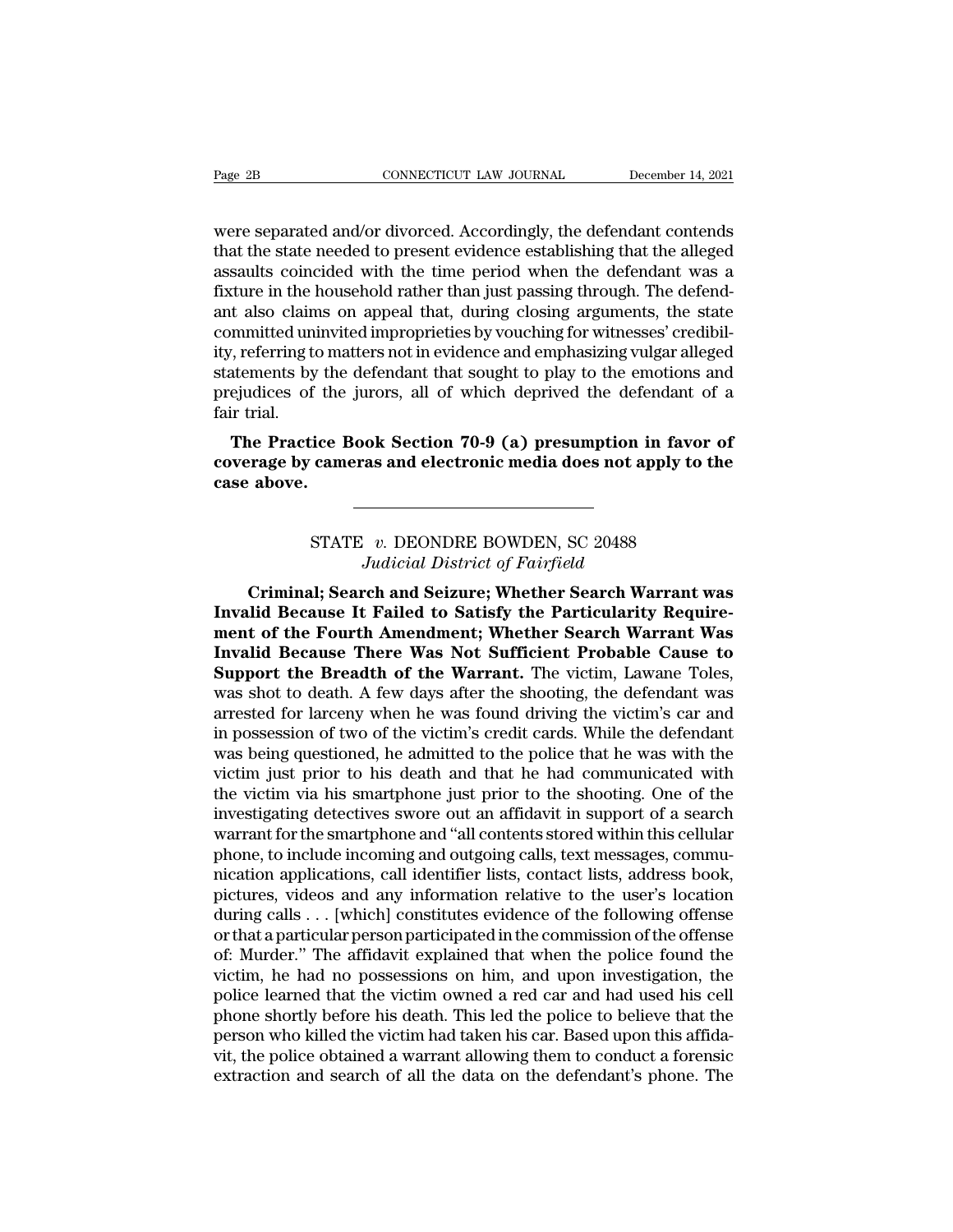Page 2B<br>
CONNECTICUT LAW JOURNAL<br>
Were separated and/or divorced. Accordingly, the defendant contends<br>
that the state needed to present evidence establishing that the alleged<br>
assaults coincided with the time period when t Example 2B<br>
Superior CONNECTICUT LAW JOURNAL December 14, 2021<br>
that the state needed to present evidence establishing that the alleged<br>
assaults coincided with the time period when the defendant was a<br>
fixture in the bous Page 2B<br>
connectricut LAW JOURNAL<br>
Were separated and/or divorced. Accordingly, the defendant contends<br>
that the state needed to present evidence establishing that the alleged<br>
assaults coincided with the time period when Fage 2B<br>
cONNECTICUT LAW JOURNAL<br>
were separated and/or divorced. Accordingly, the defendant contends<br>
that the state needed to present evidence establishing that the alleged<br>
assaults coincided with the time period when t were separated and/or divorced. Accordingly, the defendant contends<br>that the state needed to present evidence establishing that the alleged<br>assaults coincided with the time period when the defendant was a<br>fixture in the ho were separated and/or divorced. Accordingly, the defendant contends<br>that the state needed to present evidence establishing that the alleged<br>assaults coincided with the time period when the defendant was a<br>fixture in the ho were separated and/or divorced. Accordingly, the defendant contends<br>that the state needed to present evidence establishing that the alleged<br>assaults coincided with the time period when the defendant was a<br>fixture in the ho that the state needed to present evidence establishing that the alleged<br>assaults coincided with the time period when the defendant was a<br>fixture in the household rather than just passing through. The defend-<br>ant also claim assaults coincided with the time period when the defendant was a fixture in the household rather than just passing through. The defendant also claims on appeal that, during closing arguments, the state committed uninvited fixture in the l<br>ant also clain<br>committed unity, referring to<br>statements by<br>prejudices of<br>fair trial.<br>**The Practi** It also claims on appear that, during closing arguments, the state<br>mmitted uninvited improprieties by vouching for witnesses' credibil-<br>7, referring to matters not in evidence and emphasizing vulgar alleged<br>atements by the continued unifyited improprieties by volicting for wifiesses credibity, referring to matters not in evidence and emphasizing vulgar alleged statements by the defendant that sought to play to the emotions and prejudices of **c**<br>statements by the<br>prejudices of the<br>fair trial.<br>**The Practice B**<br>**coverage by came**<br>case above.

ice Book Section 70-9 (a) presumption in favor<br>cameras and electronic media does not apply to t<br>STATE v. DEONDRE BOWDEN, SC 20488<br>Judicial District of Fairfield **Judicial 70-9 (a) presumption in 1<br>
<b>Judicial District of Fairfield**<br> **Judicial District of Fairfield**<br> **Chand Seizure; Whether Search Warr** 

**CRIMITE BEFORE SEARCH AND SEARCH AND SEARCH AND SEARCH AND SEARCH AND SEARCH AND SEARCH AND SEARCH AND SEARCH SEARCH WATER SEARCH AND SEARCH AND SEARCH AND SEARCH WATERMAN SEARCH SEARCH WATERMAN SEARCH AND SEARCH WAS SEAR INVALUE 20188**<br>
Indicial District of Fairfield<br> **Invalid Because It Failed to Satisfy the Particularity Require-**<br> **Invalid Because It Failed to Satisfy the Particularity Require-**<br> **Invalid Because There Wee Net Sufficie manufacture of Fourth Amendment Of Fourth Amendment of the Fourth Amendment; Whether Search Warrant was**<br> **Multiple Search and Seizure; Whether Search Warrant was**<br> **Invalid Because It Failed to Satisfy the Particularity INVENTUATE BOWDEN, SC 20488**<br> *Indicial District of Fairfield*<br> **Criminal; Search and Seizure; Whether Search Warrant was<br>
Invalid Because It Failed to Satisfy the Particularity Require-<br>
ment of the Fourth Amendment; Whe** STATE *V. DEONDRE BOWDEN*, SC 20488<br>*Judicial District of Fairfield*<br>**Criminal; Search and Seizure; Whether Search Warrant was<br>Invalid Because It Failed to Satisfy the Particularity Require-<br>ment of the Fourth Amendment; W** Griminal; Search and Seizure; Whether Search Warrant was<br>Invalid Because It Failed to Satisfy the Particularity Require-<br>ment of the Fourth Amendment; Whether Search Warrant Was<br>Invalid Because There Was Not Sufficient Pro Criminal; Search and Seizure; Whether Search Warrant was<br>Invalid Because It Failed to Satisfy the Particularity Require-<br>ment of the Fourth Amendment; Whether Search Warrant Was<br>Invalid Because There Was Not Sufficient Pro Invalid Because It Failed to Satisfy the Particularity Requirement of the Fourth Amendment; Whether Search Warrant Was<br>Invalid Because There Was Not Sufficient Probable Cause to<br>Support the Breadth of the Warrant. The vict ment of the Fourth Amendment; Whether Search Warrant Was<br>Invalid Because There Was Not Sufficient Probable Cause to<br>Support the Breadth of the Warrant. The victim, Lawane Toles,<br>was shot to death. A few days after the shoo Invalid Because There Was Not Sufficient Probable Cause to<br>Support the Breadth of the Warrant. The victim, Lawane Toles,<br>was shot to death. A few days after the shooting, the defendant was<br>arrested for larceny when he was **Support the Breadth of the Warrant.** The victim, Lawane Toles, was shot to death. A few days after the shooting, the defendant was arrested for larceny when he was found driving the victim's car and in possession of two was shot to death. A few days after the shooting, the defendant was arrested for larceny when he was found driving the victim's car and in possession of two of the victim's credit cards. While the defendant was being quest arrested for larceny when he was found driving the victim's car and<br>in possession of two of the victim's credit cards. While the defendant<br>was being questioned, he admitted to the police that he was with the<br>victim just pr in possession of two of the victim's credit cards. While the defendant was being questioned, he admitted to the police that he was with the victim just prior to his death and that he had communicated with the victim via hi was being questioned, he admitted to the police that he was with the victim just prior to his death and that he had communicated with the victim via his smartphone just prior to the shooting. One of the investigating detec victim just prior to his death and that he had communicated with<br>the victim via his smartphone just prior to the shooting. One of the<br>investigating detectives swore out an affidavit in support of a search<br>warrant for the s the victim via his smartphone just prior to the shooting. One of the<br>investigating detectives swore out an affidavit in support of a search<br>warrant for the smartphone and "all contents stored within this cellular<br>phone, to investigating detectives swore out an affidavit in support of a search<br>warrant for the smartphone and "all contents stored within this cellular<br>phone, to include incoming and outgoing calls, text messages, commu-<br>nication warrant for the smartphone and "all contents stored within this cellular<br>phone, to include incoming and outgoing calls, text messages, commu-<br>nication applications, call identifier lists, contact lists, address book,<br>pictu phone, to include incoming and outgoing calls, text messages, communication applications, call identifier lists, contact lists, address book, pictures, videos and any information relative to the user's location during call nication applications, call identifier lists, contact lists, address book,<br>pictures, videos and any information relative to the user's location<br>during calls . . . [which] constitutes evidence of the following offense<br>or th pictures, videos and any information relative to the user's location<br>during calls . . . [which] constitutes evidence of the following offense<br>or that a particular person participated in the commission of the offense<br>of: Mu during calls . . . [which] constitutes evidence of the following offense<br>or that a particular person participated in the commission of the offense<br>of: Murder." The affidavit explained that when the police found the<br>victim, or that a particular person participated in the commission of the offense<br>of: Murder." The affidavit explained that when the police found the<br>victim, he had no possessions on him, and upon investigation, the<br>police learned of: Murder." The affidavit explained that when the police found the victim, he had no possessions on him, and upon investigation, the police learned that the victim owned a red car and had used his cell phone shortly befor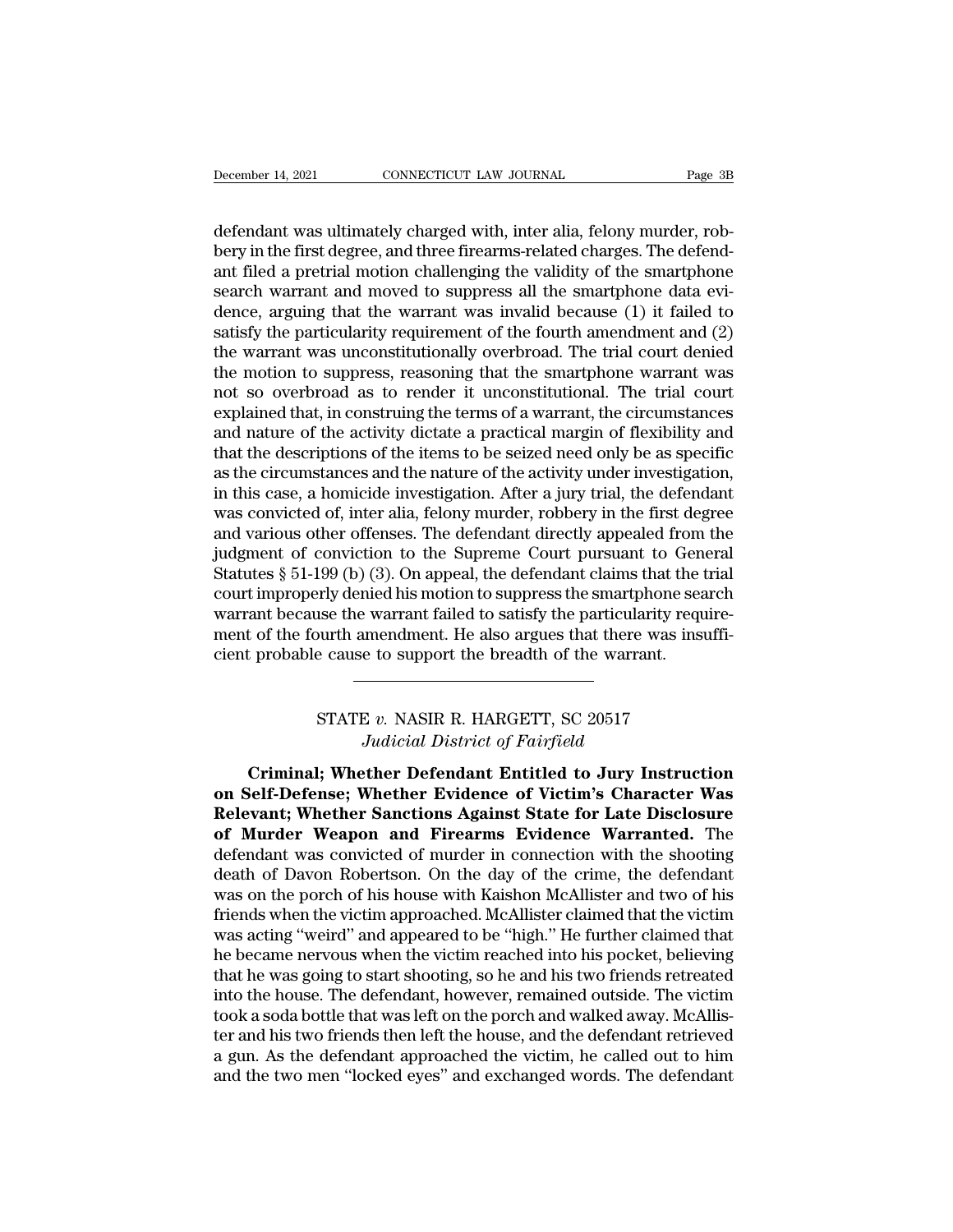December 14, 2021 CONNECTICUT LAW JOURNAL Page 3B<br>defendant was ultimately charged with, inter alia, felony murder, rob-<br>bery in the first degree, and three firearms-related charges. The defend-<br>antifiled a protrial motion becember 14, 2021 CONNECTICUT LAW JOURNAL Page 3B<br>defendant was ultimately charged with, inter alia, felony murder, rob-<br>bery in the first degree, and three firearms-related charges. The defend-<br>ant filed a pretrial motion December 14, 2021 CONNECTICUT LAW JOURNAL Page 3B<br>defendant was ultimately charged with, inter alia, felony murder, rob-<br>bery in the first degree, and three firearms-related charges. The defend-<br>ant filed a pretrial motion December 14, 2021 CONNECTICUT LAW JOURNAL Page 3B<br>defendant was ultimately charged with, inter alia, felony murder, rob-<br>bery in the first degree, and three firearms-related charges. The defend-<br>ant filed a pretrial motion defendant was ultimately charged with, inter alia, felony murder, rob-<br>bery in the first degree, and three firearms-related charges. The defend-<br>ant filed a pretrial motion challenging the validity of the smartphone<br>search defendant was ultimately charged with, inter alia, felony murder, rob-<br>bery in the first degree, and three firearms-related charges. The defend-<br>ant filed a pretrial motion challenging the validity of the smartphone<br>search defendant was ultimately charged with, inter alia, felony murder, rob-<br>bery in the first degree, and three firearms-related charges. The defend-<br>ant filed a pretrial motion challenging the validity of the smartphone<br>search bery in the first degree, and three firearms-related charges. The defend-<br>ant filed a pretrial motion challenging the validity of the smartphone<br>search warrant and moved to suppress all the smartphone data evi-<br>dence, argu ant filed a pretrial motion challenging the validity of the smartphone<br>search warrant and moved to suppress all the smartphone data evi-<br>dence, arguing that the warrant was invalid because (1) it failed to<br>satisfy the part search warrant and moved to suppress all the smartphone data evidence, arguing that the warrant was invalid because (1) it failed to satisfy the particularity requirement of the fourth amendment and (2) the warrant was unc dence, arguing that the warrant was invalid because (1) it failed to<br>satisfy the particularity requirement of the fourth amendment and (2)<br>the warrant was unconstitutionally overbroad. The trial court denied<br>the motion to satisfy the particularity requirement of the fourth amendment and (2)<br>the warrant was unconstitutionally overbroad. The trial court denied<br>the motion to suppress, reasoning that the smartphone warrant was<br>not so overbroad the warrant was unconstitutionally overbroad. The trial court denied<br>the motion to suppress, reasoning that the smartphone warrant was<br>not so overbroad as to render it unconstitutional. The trial court<br>explained that, in c the motion to suppress, reasoning that the smartphone warrant was<br>not so overbroad as to render it unconstitutional. The trial court<br>explained that, in construing the terms of a warrant, the circumstances<br>and nature of the not so overbroad as to render it unconstitutional. The trial court<br>explained that, in construing the terms of a warrant, the circumstances<br>and nature of the activity dictate a practical margin of flexibility and<br>that the d explained that, in construing the terms of a warrant, the circumstances<br>and nature of the activity dictate a practical margin of flexibility and<br>that the descriptions of the items to be seized need only be as specific<br>as and nature of the activity dictate a practical margin of flexibility and<br>that the descriptions of the items to be seized need only be as specific<br>as the circumstances and the nature of the activity under investigation,<br>in that the descriptions of the items to be seized need only be as specific<br>as the circumstances and the nature of the activity under investigation,<br>in this case, a homicide investigation. After a jury trial, the defendant<br>wa as the circumstances and the nature of the activity under investigation,<br>in this case, a homicide investigation. After a jury trial, the defendant<br>was convicted of, inter alia, felony murder, robbery in the first degree<br>an in this case, a homicide investigation. After a jury trial, the defendant<br>was convicted of, inter alia, felony murder, robbery in the first degree<br>and various other offenses. The defendant directly appealed from the<br>judgme was convicted of, inter alia, felony murder, robbery in the first degree<br>and various other offenses. The defendant directly appealed from the<br>judgment of conviction to the Supreme Court pursuant to General<br>Statutes § 51-19 and various other offenses. The defendant directly appealed from<br>judgment of conviction to the Supreme Court pursuant to Gen<br>Statutes § 51-199 (b) (3). On appeal, the defendant claims that the<br>court improperly denied his m Fily denied his motion to suppress the smartphone sea<br>use the warrant failed to satisfy the particularity requ<br>burth amendment. He also argues that there was insu<br>e cause to support the breadth of the warrant.<br>STATE v. NAS *Judicial Ending to Satisfy the particularity*<br>*Jumendment. He also argues that there wase to support the breadth of the warrant.*<br>*Judicial District of Fairfield*<br>*Judicial District of Fairfield*<br>**ther Defendant Entitled** 

Expredience to support the breadth of the warrant.<br>
CRIMITE *v*. NASIR R. HARGETT, SC 20517<br> *Criminal*; Whether Defendant Entitled to Jury Instruction<br>
Self-Defense; Whether Evidence of Victim's Character Was **STATE v. NASIR R. HARGETT, SC 20517**<br> *Judicial District of Fairfield*<br> **Criminal; Whether Defendant Entitled to Jury Instruction**<br> **on Self-Defense; Whether Evidence of Victim's Character Was<br>
Relevant; Whether Sanctions Relevant STATE v. NASIR R. HARGETT, SC 20517**<br> *Judicial District of Fairfield*<br> **Criminal; Whether Defendant Entitled to Jury Instruction**<br> **on Self-Defense; Whether Evidence of Victim's Character Was<br>
Relevant; Whether STATE v. NASIR R. HARGETT, SC 20517**<br>Judicial District of Fairfield<br>**Criminal; Whether Defendant Entitled to Jury Instruction**<br>on Self-Defense; Whether Evidence of Victim's Character Was<br>Relevant; Whether Sanctions Agains Judicial District of Fairfield<br>Criminal; Whether Defendant Entitled to Jury Instruction<br>on Self-Defense; Whether Evidence of Victim's Character Was<br>Relevant; Whether Sanctions Against State for Late Disclosure<br>of Murder We Criminal; Whether Defendant Entitled to Jury Instruction<br>on Self-Defense; Whether Evidence of Victim's Character Was<br>Relevant; Whether Sanctions Against State for Late Disclosure<br>of Murder Weapon and Firearms Evidence Warr Criminal; Whether Defendant Entitled to Jury Instruction<br>on Self-Defense; Whether Evidence of Victim's Character Was<br>Relevant; Whether Sanctions Against State for Late Disclosure<br>of Murder Weapon and Firearms Evidence Warr on Self-Defense; Whether Evidence of Victim's Character Was<br>Relevant; Whether Sanctions Against State for Late Disclosure<br>of Murder Weapon and Firearms Evidence Warranted. The<br>defendant was convicted of murder in connectio **Relevant; Whether Sanctions Against State for Late Disclosure**<br>of Murder Weapon and Firearms Evidence Warranted. The<br>defendant was convicted of murder in connection with the shooting<br>death of Davon Robertson. On the day o of Murder Weapon and Firearms Evidence Warranted. The<br>defendant was convicted of murder in connection with the shooting<br>death of Davon Robertson. On the day of the crime, the defendant<br>was on the porch of his house with Ka defendant was convicted of murder in connection with the shooting<br>death of Davon Robertson. On the day of the crime, the defendant<br>was on the porch of his house with Kaishon McAllister and two of his<br>friends when the victi death of Davon Robertson. On the day of the crime, the defendant<br>was on the porch of his house with Kaishon McAllister and two of his<br>friends when the victim approached. McAllister claimed that the victim<br>was acting "weird was on the porch of his house with Kaishon McAllister and two of his<br>friends when the victim approached. McAllister claimed that the victim<br>was acting "weird" and appeared to be "high." He further claimed that<br>he became ne friends when the victim approached. McAllister claimed that the victim<br>was acting "weird" and appeared to be "high." He further claimed that<br>he became nervous when the victim reached into his pocket, believing<br>that he was was acting "weird" and appeared to be "high." He further claimed that<br>he became nervous when the victim reached into his pocket, believing<br>that he was going to start shooting, so he and his two friends retreated<br>into the h he became nervous when the victim reached into his pocket, believing<br>that he was going to start shooting, so he and his two friends retreated<br>into the house. The defendant, however, remained outside. The victim<br>took a soda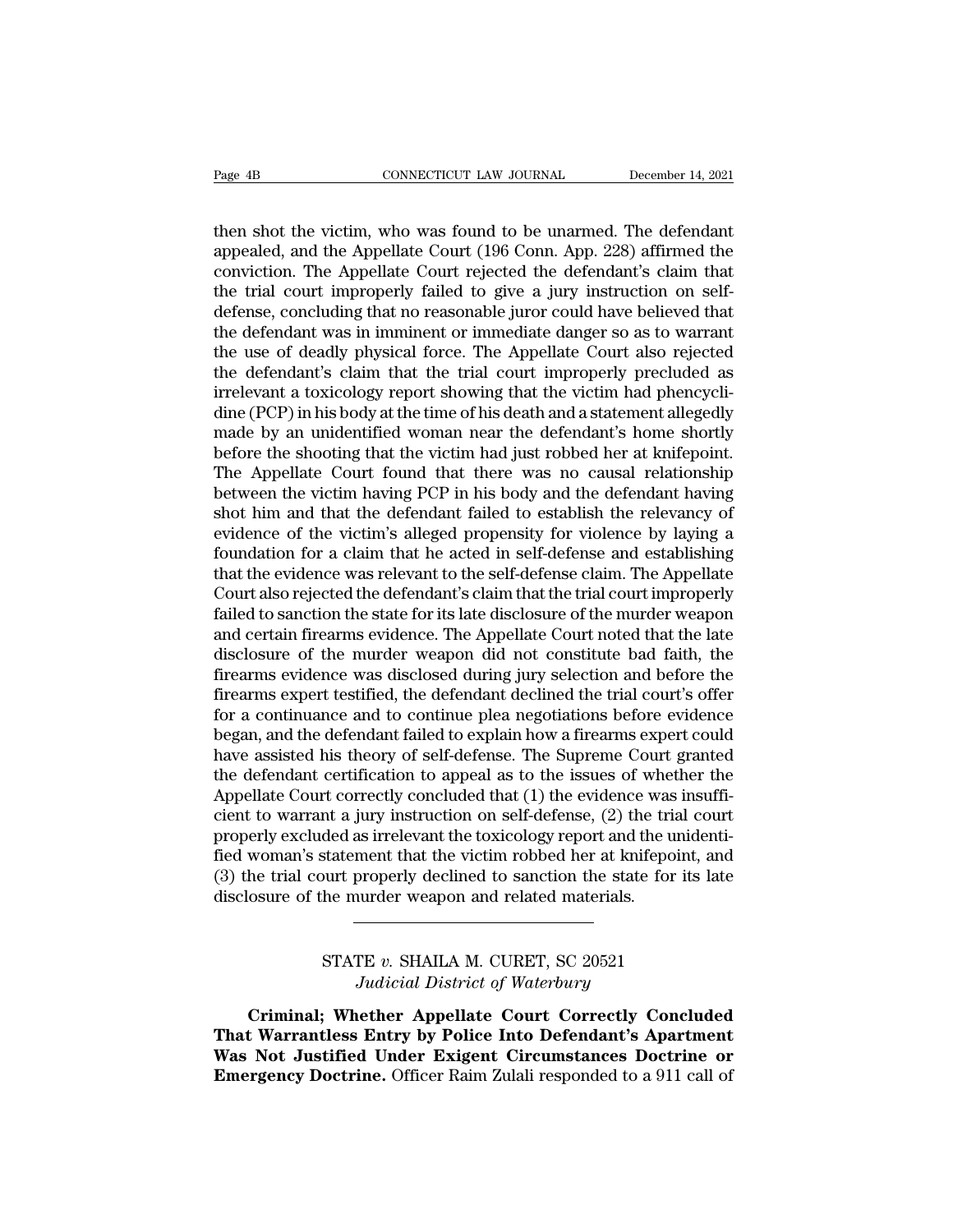Page 4B<br>
CONNECTICUT LAW JOURNAL<br>
then shot the victim, who was found to be unarmed. The defendant<br>
appealed, and the Appellate Court (196 Conn. App. 228) affirmed the<br>
conviction. The Appellate Court rejected the defendan Page 4B<br> **CONNECTICUT LAW JOURNAL** December 14, 2021<br>
then shot the victim, who was found to be unarmed. The defendant<br>
appealed, and the Appellate Court (196 Conn. App. 228) affirmed the<br>
conviction. The Appellate Court r Page 4B<br>
connection. The Mouravallian December 14, 2021<br>
then shot the victim, who was found to be unarmed. The defendant<br>
appealed, and the Appellate Court (196 Conn. App. 228) affirmed the<br>
conviction. The Appellate Cour Page 4B<br>
connecticut LAW JOURNAL<br>
then shot the victim, who was found to be unarmed. The defendant<br>
appealed, and the Appellate Court (196 Conn. App. 228) affirmed the<br>
conviction. The Appellate Court rejected the defendan then shot the victim, who was found to be unarmed. The defendant appealed, and the Appellate Court (196 Conn. App. 228) affirmed the conviction. The Appellate Court rejected the defendant's claim that the trial court impro then shot the victim, who was found to be unarmed. The defendant appealed, and the Appellate Court (196 Conn. App. 228) affirmed the conviction. The Appellate Court rejected the defendant's claim that the trial court impro then shot the victim, who was found to be unarmed. The defendant<br>appealed, and the Appellate Court (196 Conn. App. 228) affirmed the<br>conviction. The Appellate Court rejected the defendant's claim that<br>the trial court impro appealed, and the Appellate Court (196 Conn. App. 228) affirmed the conviction. The Appellate Court rejected the defendant's claim that the trial court improperly failed to give a jury instruction on self-<br>defense, conclud conviction. The Appellate Court rejected the defendant's claim that<br>the trial court improperly failed to give a jury instruction on self-<br>defense, concluding that no reasonable juror could have believed that<br>the defendant the trial court improperly failed to give a jury instruction on self-<br>defense, concluding that no reasonable juror could have believed that<br>the defendant was in imminent or immediate danger so as to warrant<br>the use of dead defense, concluding that no reasonable juror could have believed that<br>the defendant was in imminent or immediate danger so as to warrant<br>the use of deadly physical force. The Appellate Court also rejected<br>the defendant's c the defendant was in imminent or immediate danger so as to warrant<br>the use of deadly physical force. The Appellate Court also rejected<br>the defendant's claim that the trial court improperly precluded as<br>irrelevant a toxicol the use of deadly physical force. The Appellate Court also rejected<br>the defendant's claim that the trial court improperly precluded as<br>irrelevant a toxicology report showing that the victim had phencycli-<br>dine (PCP) in his the defendant's claim that the trial court improperly precluded as<br>irrelevant a toxicology report showing that the victim had phencycli-<br>dine (PCP) in his body at the time of his death and a statement allegedly<br>made by an irrelevant a toxicology report showing that the victim had phencycli-<br>dine (PCP) in his body at the time of his death and a statement allegedly<br>made by an unidentified woman near the defendant's home shortly<br>before the sho dine (PCP) in his body at the time of his death and a statement allegedly<br>made by an unidentified woman near the defendant's home shortly<br>before the shooting that the victim had just robbed her at knifepoint.<br>The Appellate made by an unidentified woman near the defendant's home shortly<br>before the shooting that the victim had just robbed her at knifepoint.<br>The Appellate Court found that there was no causal relationship<br>between the victim havi before the shooting that the victim had just robbed her at knifepoint.<br>The Appellate Court found that there was no causal relationship<br>between the victim having PCP in his body and the defendant having<br>shot him and that th The Appellate Court found that there was no causal relationship<br>between the victim having PCP in his body and the defendant having<br>shot him and that the defendant failed to establish the relevancy of<br>evidence of the victim between the victim having PCP in his body and the defendant having<br>shot him and that the defendant failed to establish the relevancy of<br>evidence of the victim's alleged propensity for violence by laying a<br>foundation for a shot him and that the defendant failed to establish the relevancy of<br>evidence of the victim's alleged propensity for violence by laying a<br>foundation for a claim that he acted in self-defense and establishing<br>that the evide evidence of the victim's alleged propensity for violence by laying a<br>foundation for a claim that he acted in self-defense and establishing<br>that the evidence was relevant to the self-defense claim. The Appellate<br>Court also foundation for a claim that he acted in self-defense and establishing<br>that the evidence was relevant to the self-defense claim. The Appellate<br>Court also rejected the defendant's claim that the trial court improperly<br>failed that the evidence was relevant to the self-defense claim. The Appellate<br>Court also rejected the defendant's claim that the trial court improperly<br>failed to sanction the state for its late disclosure of the murder weapon<br>an Court also rejected the defendant's claim that the trial court improperly<br>failed to sanction the state for its late disclosure of the murder weapon<br>and certain firearms evidence. The Appellate Court noted that the late<br>dis failed to sanction the state for its late disclosure of the murder weapon<br>and certain firearms evidence. The Appellate Court noted that the late<br>disclosure of the murder weapon did not constitute bad faith, the<br>firearms ev and certain firearms evidence. The Appellate Court noted that the late disclosure of the murder weapon did not constitute bad faith, the firearms evidence was disclosed during jury selection and before the firearms expert disclosure of the murder weapon did not constitute bad faith, the<br>firearms evidence was disclosed during jury selection and before the<br>firearms expert testified, the defendant declined the trial court's offer<br>for a continu firearms evidence was disclosed during jury selection and before the firearms expert testified, the defendant declined the trial court's offer for a continuance and to continue plea negotiations before evidence began, and firearms expert testified, the defendant declined the trial court's offer<br>for a continuance and to continue plea negotiations before evidence<br>began, and the defendant failed to explain how a firearms expert could<br>have assi for a continuance and to continue plea negotiations before evidence<br>began, and the defendant failed to explain how a firearms expert could<br>have assisted his theory of self-defense. The Supreme Court granted<br>the defendant began, and the defendant failed to explain how a firearms expert could<br>have assisted his theory of self-defense. The Supreme Court granted<br>the defendant certification to appeal as to the issues of whether the<br>Appellate Cou have assisted his theory of self-defense. The Supreme Court granted<br>the defendant certification to appeal as to the issues of whether the<br>Appellate Court correctly concluded that (1) the evidence was insuffi-<br>cient to warr the defendant certification to appeal as to the issues of whe<br>Appellate Court correctly concluded that (1) the evidence was<br>cient to warrant a jury instruction on self-defense, (2) the tri<br>properly excluded as irrelevant t ded as irrelevant the toxicology report and the uniderstatement that the victim robbed her at knifepoint,<br>burt properly declined to sanction the state for its<br>he murder weapon and related materials.<br>STATE v. SHAILA M. CURE ment that the victim robbed her at knitepo<br>properly declined to sanction the state for<br>*Judicial District of Waterbury*<br>**Judicial District of Waterbury**<br>**Judicial District of Waterbury**<br>**Jether Appellate Court Correctly Co** 

Solution of the murder weapon and related materials.<br>
Criminal; Whether Appellate Court Correctly Concluded<br>
Expediant Warrantless Entry by Police Into Defendant's Apartment<br>
Not Instituted Under Existent Circumstances Des **THATE v. SHAILA M. CURET, SC 20521**<br> *Tudicial District of Waterbury*<br> **Criminal; Whether Appellate Court Correctly Concluded**<br> **That Warrantless Entry by Police Into Defendant's Apartment**<br> **Was Not Justified Under Exige STATE v. SHAILA M. CURET, SC 20521**<br>*Judicial District of Waterbury*<br>**Criminal; Whether Appellate Court Correctly Concluded<br>That Warrantless Entry by Police Into Defendant's Apartment<br>Was Not Justified Under Exigent Circu EXAMPLE V. SHAILA M. CURET, SC 20521**<br>*Judicial District of Waterbury*<br>**Criminal; Whether Appellate Court Correctly Concluded**<br>**That Warrantless Entry by Police Into Defendant's Apartment**<br>**Was Not Justified Under Exigent**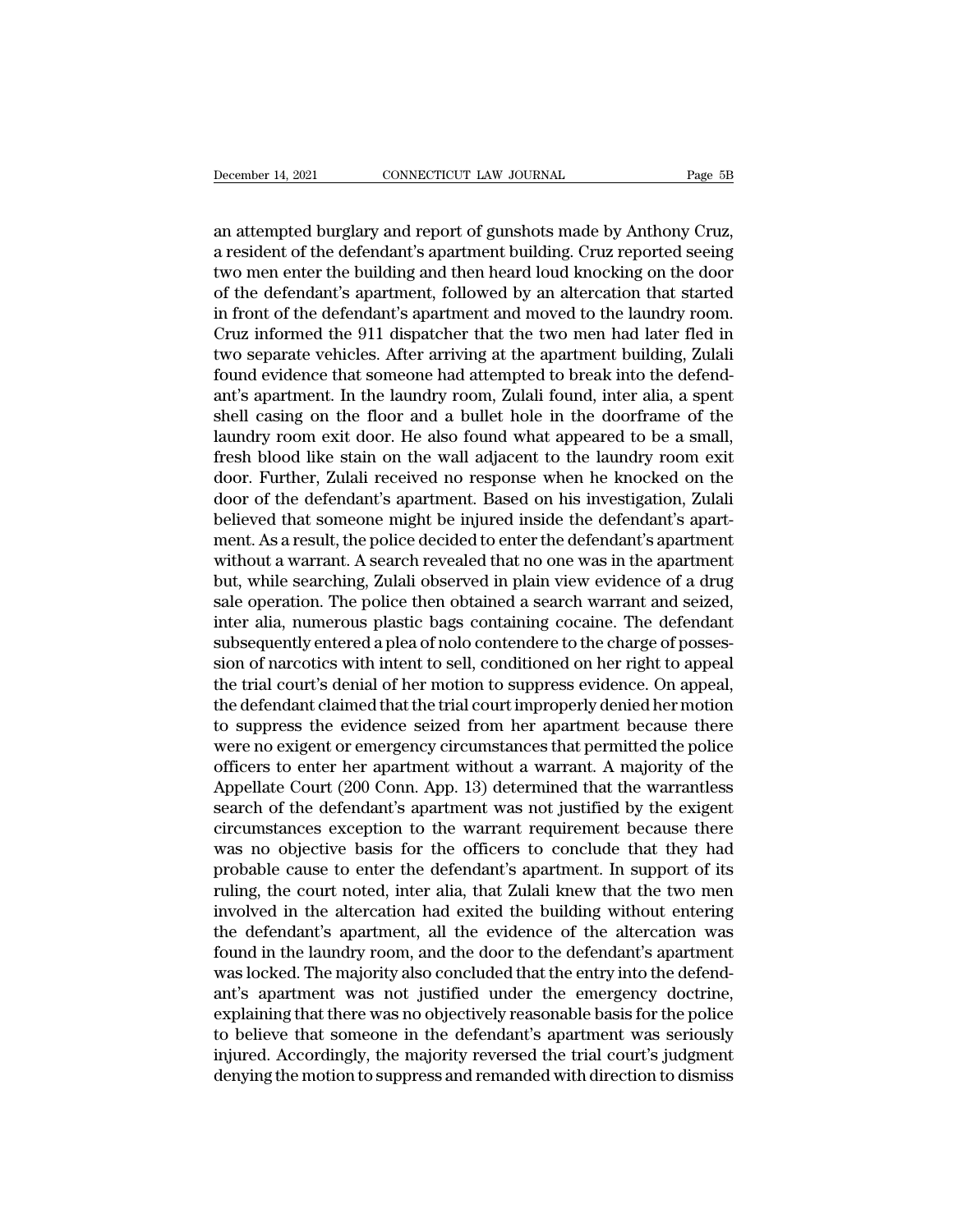December 14, 2021 CONNECTICUT LAW JOURNAL Page 5B<br>
an attempted burglary and report of gunshots made by Anthony Cruz,<br>
a resident of the defendant's apartment building. Cruz reported seeing<br>
two men opter the building and December 14, 2021<br> **Example 14, 2021**<br> **Example 14, 2021**<br> **Example 14, 2021**<br> **Example 14, 2021**<br> **Example 14, 2021**<br> **Example 14, 2021**<br> **Example 14, 2021**<br> **Example 14, 2021**<br> **Example 14, 2021**<br> **Example 14, 2021**<br> **Ex** December 14, 2021 CONNECTICUT LAW JOURNAL Page 5B<br>an attempted burglary and report of gunshots made by Anthony Cruz,<br>a resident of the defendant's apartment building. Cruz reported seeing<br>two men enter the building and the December 14, 2021 CONNECTICUT LAW JOURNAL Page 5B<br>
an attempted burglary and report of gunshots made by Anthony Cruz,<br>
a resident of the defendant's apartment building. Cruz reported seeing<br>
two men enter the building and an attempted burglary and report of gunshots made by Anthony Cruz,<br>a resident of the defendant's apartment building. Cruz reported seeing<br>two men enter the building and then heard loud knocking on the door<br>of the defendant an attempted burglary and report of gunshots made by Anthony Cruz,<br>a resident of the defendant's apartment building. Cruz reported seeing<br>two men enter the building and then heard loud knocking on the door<br>of the defendant an attempted burglary and report of gunshots made by Anthony Cruz,<br>a resident of the defendant's apartment building. Cruz reported seeing<br>two men enter the building and then heard loud knocking on the door<br>of the defendant a resident of the defendant's apartment building. Cruz reported seeing<br>two men enter the building and then heard loud knocking on the door<br>of the defendant's apartment, followed by an altercation that started<br>in front of t two men enter the building and then heard loud knocking on the door<br>of the defendant's apartment, followed by an altercation that started<br>in front of the defendant's apartment and moved to the laundry room.<br>Cruz informed t of the defendant's apartment, followed by an altercation that started<br>in front of the defendant's apartment and moved to the laundry room.<br>Cruz informed the 911 dispatcher that the two men had later fled in<br>two separate ve in front of the defendant's apartment and moved to the laundry room.<br>Cruz informed the 911 dispatcher that the two men had later fled in<br>two separate vehicles. After arriving at the apartment building, Zulali<br>found evidenc Cruz informed the 911 dispatcher that the two men had later fled in<br>two separate vehicles. After arriving at the apartment building, Zulali<br>found evidence that someone had attempted to break into the defend-<br>ant's apartmen two separate vehicles. After arriving at the apartment building, Zulali<br>found evidence that someone had attempted to break into the defend-<br>ant's apartment. In the laundry room, Zulali found, inter alia, a spent<br>shell casi found evidence that someone had attempted to break into the defendant's apartment. In the laundry room, Zulali found, inter alia, a spent shell casing on the floor and a bullet hole in the doorframe of the laundry room exi ant's apartment. In the laundry room, Zulali found, inter alia, a spent<br>shell casing on the floor and a bullet hole in the doorframe of the<br>laundry room exit door. He also found what appeared to be a small,<br>fresh blood lik shell casing on the floor and a bullet hole in the doorframe of the<br>laundry room exit door. He also found what appeared to be a small,<br>fresh blood like stain on the wall adjacent to the laundry room exit<br>door. Further, Zul laundry room exit door. He also found what appeared to be a small,<br>fresh blood like stain on the wall adjacent to the laundry room exit<br>door. Further, Zulali received no response when he knocked on the<br>door of the defendan fresh blood like stain on the wall adjacent to the laundry room exit<br>door. Further, Zulali received no response when he knocked on the<br>door of the defendant's apartment. Based on his investigation, Zulali<br>believed that som door. Further, Zulali received no response when he knocked on the<br>door of the defendant's apartment. Based on his investigation, Zulali<br>believed that someone might be injured inside the defendant's apart-<br>ment. As a result door of the defendant's apartment. Based on his investigation, Zulali<br>believed that someone might be injured inside the defendant's apart-<br>ment. As a result, the police decided to enter the defendant's apartment<br>without a believed that someone might be injured inside the defendant's apartment. As a result, the police decided to enter the defendant's apartment without a warrant. A search revealed that no one was in the apartment but, while s ment. As a result, the police decided to enter the defendant's apartment<br>without a warrant. A search revealed that no one was in the apartment<br>but, while searching, Zulali observed in plain view evidence of a drug<br>sale ope without a warrant. A search revealed that no one was in the apartment<br>but, while searching, Zulali observed in plain view evidence of a drug<br>sale operation. The police then obtained a search warrant and seized,<br>inter alia, but, while searching, Zulali observed in plain view evidence of a drug<br>sale operation. The police then obtained a search warrant and seized,<br>inter alia, numerous plastic bags containing cocaine. The defendant<br>subsequently sale operation. The police then obtained a search warrant and seized,<br>inter alia, numerous plastic bags containing cocaine. The defendant<br>subsequently entered a plea of nolo contendere to the charge of posses-<br>sion of narc inter alia, numerous plastic bags containing cocaine. The defendant<br>subsequently entered a plea of nolo contendere to the charge of posses-<br>sion of narcotics with intent to sell, conditioned on her right to appeal,<br>the tri subsequently entered a plea of nolo contendere to the charge of posses-<br>sion of narcotics with intent to sell, conditioned on her right to appeal<br>the trial court's denial of her motion to suppress evidence. On appeal,<br>the sion of narcotics with intent to sell, conditioned on her right to appeal<br>the trial court's denial of her motion to suppress evidence. On appeal,<br>the defendant claimed that the trial court improperly denied her motion<br>to s the trial court's denial of her motion to suppress evidence. On appeal,<br>the defendant claimed that the trial court improperly denied her motion<br>to suppress the evidence seized from her apartment because there<br>were no exige the defendant claimed that the trial court improperly denied her motion<br>to suppress the evidence seized from her apartment because there<br>were no exigent or emergency circumstances that permitted the police<br>officers to ente to suppress the evidence seized from her apartment because there<br>were no exigent or emergency circumstances that permitted the police<br>officers to enter her apartment without a warrant. A majority of the<br>Appellate Court (20 were no exigent or emergency circumstances that permitted the police<br>officers to enter her apartment without a warrant. A majority of the<br>Appellate Court (200 Conn. App. 13) determined that the warrantless<br>search of the de officers to enter her apartment without a warrant. A majority of the<br>Appellate Court (200 Conn. App. 13) determined that the warrantless<br>search of the defendant's apartment was not justified by the exigent<br>circumstances ex Appellate Court (200 Conn. App. 13) determined that the warrantless<br>search of the defendant's apartment was not justified by the exigent<br>circumstances exception to the warrant requirement because there<br>was no objective bas search of the defendant's apartment was not justified by the exigent<br>circumstances exception to the warrant requirement because there<br>was no objective basis for the officers to conclude that they had<br>probable cause to ente circumstances exception to the warrant requirement because there was no objective basis for the officers to conclude that they had probable cause to enter the defendant's apartment. In support of its ruling, the court note was no objective basis for the officers to conclude that they had<br>probable cause to enter the defendant's apartment. In support of its<br>ruling, the court noted, inter alia, that Zulali knew that the two men<br>involved in the probable cause to enter the defendant's apartment. In support of its<br>ruling, the court noted, inter alia, that Zulali knew that the two men<br>involved in the altercation had exited the building without entering<br>the defendant ruling, the court noted, inter alia, that Zulali knew that the two men<br>involved in the altercation had exited the building without entering<br>the defendant's apartment, all the evidence of the altercation was<br>found in the la involved in the altercation had exited the building without entering<br>the defendant's apartment, all the evidence of the altercation was<br>found in the laundry room, and the door to the defendant's apartment<br>was locked. The m the defendant's apartment, all the evidence of the altercation was<br>found in the laundry room, and the door to the defendant's apartment<br>was locked. The majority also concluded that the entry into the defend-<br>ant's apartmen found in the laundry room, and the door to the defendant's apartment<br>was locked. The majority also concluded that the entry into the defend-<br>ant's apartment was not justified under the emergency doctrine,<br>explaining that t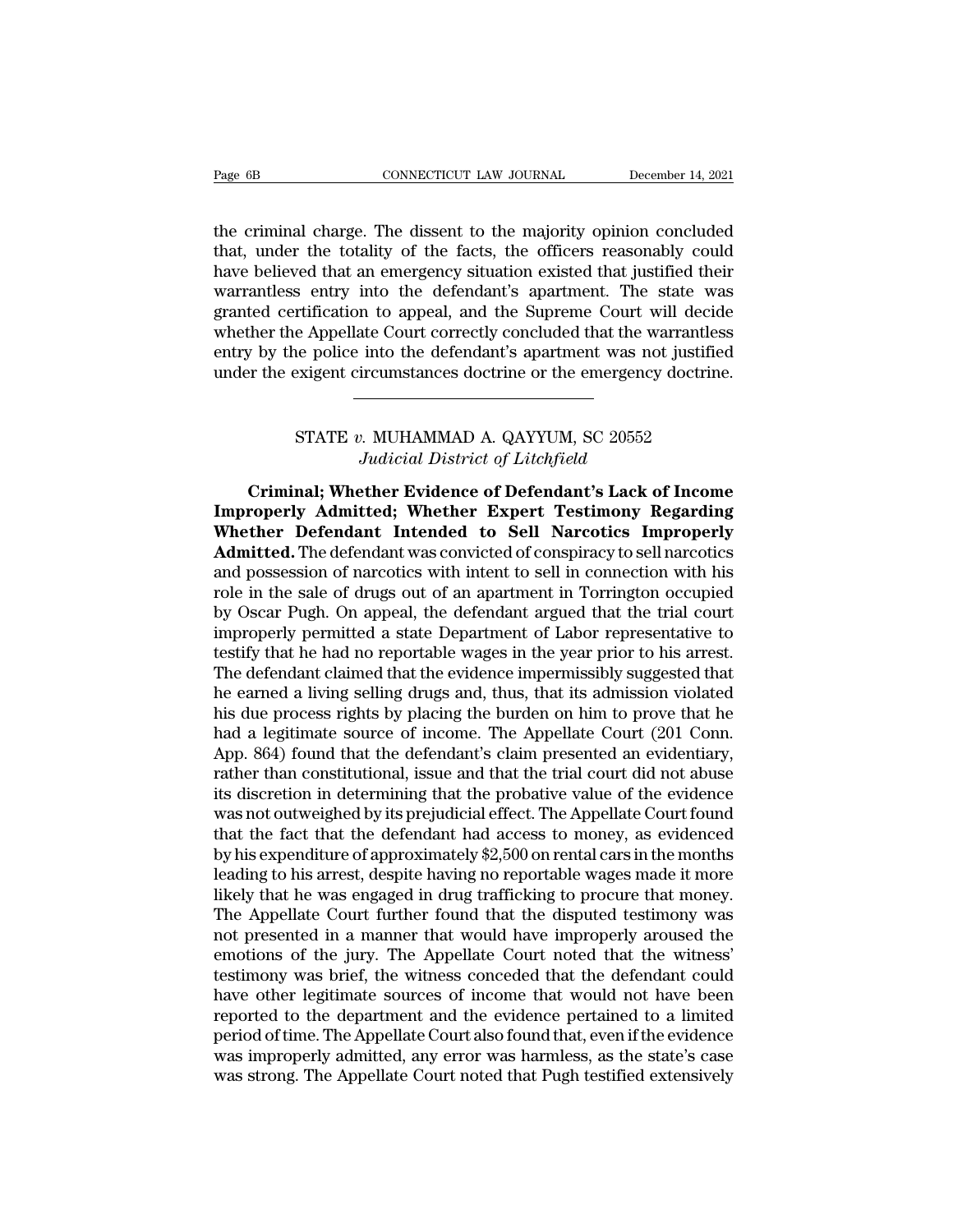Page 6B<br>
CONNECTICUT LAW JOURNAL<br>
the criminal charge. The dissent to the majority opinion concluded<br>
that, under the totality of the facts, the officers reasonably could<br>
have believed that an emergency situation existed Page 6B CONNECTICUT LAW JOURNAL December 14, 2021<br>the criminal charge. The dissent to the majority opinion concluded<br>that, under the totality of the facts, the officers reasonably could<br>have believed that an emergency situ Page 6B CONNECTICUT LAW JOURNAL December 14, 2021<br>the criminal charge. The dissent to the majority opinion concluded<br>that, under the totality of the facts, the officers reasonably could<br>have believed that an emergency situ Page 6B<br>
CONNECTICUT LAW JOURNAL<br>
the criminal charge. The dissent to the majority opinion concluded<br>
that, under the totality of the facts, the officers reasonably could<br>
have believed that an emergency situation existed the criminal charge. The dissent to the majority opinion concluded<br>that, under the totality of the facts, the officers reasonably could<br>have believed that an emergency situation existed that justified their<br>warrantless ent the criminal charge. The dissent to the majority opinion concluded<br>that, under the totality of the facts, the officers reasonably could<br>have believed that an emergency situation existed that justified their<br>warrantless ent the criminal charge. The dissent to the majority opinion concluded<br>that, under the totality of the facts, the officers reasonably could<br>have believed that an emergency situation existed that justified their<br>warrantless ent that, under the totality of the facts, the officers reasonably could<br>have believed that an emergency situation existed that justified their<br>warrantless entry into the defendant's apartment. The state was<br>granted certificat rtification to appeal, and the Supreme Court will decide<br>e Appellate Court correctly concluded that the warrantless<br>ne police into the defendant's apartment was not justified<br>exigent circumstances doctrine or the emergency ate Court correctly concluded that the ware<br>
into the defendant's apartment was not<br>
ircumstances doctrine or the emergency contributions<br> *Judicial District of Litchfield*<br> **Judicial District of Litchfield**<br> **Judicial Dis** 

**CRIMIT: The exigent circumstances doctrine or the emergency doctrine.**<br>
CRIMITE v. MUHAMMAD A. QAYYUM, SC 20552<br> *Criminal*; Whether Evidence of Defendant's Lack of Income<br> **Criminal; Whether Evidence of Defendant's Lack IMPROVE BETATE v. MUHAMMAD A. QAYYUM, SC 20552**<br> *Indicial District of Litchfield*<br> **Criminal; Whether Evidence of Defendant's Lack of Income Improperly Admitted; Whether Expert Testimony Regarding<br>
Whether Defendant Inte STATE v. MUHAMMAD A. QAYYUM, SC 20552**<br>*Judicial District of Litchfield*<br>**Criminal; Whether Evidence of Defendant's Lack of Income**<br>**Improperly Admitted; Whether Expert Testimony Regarding**<br>**Whether Defendant Intended to** STATE v. MUHAMMAD A. QAYYUM, SC 20552<br>*Judicial District of Litchfield*<br>**Criminal; Whether Evidence of Defendant's Lack of Income**<br>**Improperly Admitted; Whether Expert Testimony Regarding<br>Whether Defendant Intended to Sell** Judicial District of Litchfield<br>Criminal; Whether Evidence of Defendant's Lack of Income<br>Improperly Admitted; Whether Expert Testimony Regarding<br>Whether Defendant Intended to Sell Narcotics Improperly<br>Admitted. The defenda **Criminal; Whether Evidence of Defendant's Lack of Income Improperly Admitted; Whether Expert Testimony Regarding Whether Defendant Intended to Sell Narcotics Improperly Admitted. The defendant was convicted of conspiracy** Criminal; Whether Evidence of Defendant's Lack of Income<br>Improperly Admitted; Whether Expert Testimony Regarding<br>Whether Defendant Intended to Sell Narcotics Improperly<br>Admitted. The defendant was convicted of conspiracy t **Improperly Admitted; Whether Expert Testimony Regarding Whether Defendant Intended to Sell Narcotics Improperly Admitted.** The defendant was convicted of conspiracy to sell narcotics and possession of narcotics with inten Whether Defendant Intended to Sell Narcotics Improperly<br>Admitted. The defendant was convicted of conspiracy to sell narcotics<br>and possession of narcotics with intent to sell in connection with his<br>role in the sale of drugs Admitted. The defendant was convicted of conspiracy to sell narcotics<br>and possession of narcotics with intent to sell in connection with his<br>role in the sale of drugs out of an apartment in Torrington occupied<br>by Oscar Pug and possession of narcotics with intent to sell in connection with his<br>role in the sale of drugs out of an apartment in Torrington occupied<br>by Oscar Pugh. On appeal, the defendant argued that the trial court<br>improperly per role in the sale of drugs out of an apartment in Torrington occupied<br>by Oscar Pugh. On appeal, the defendant argued that the trial court<br>improperly permitted a state Department of Labor representative to<br>testify that he ha by Oscar Pugh. On appeal, the defendant argued that the trial court<br>improperly permitted a state Department of Labor representative to<br>testify that he had no reportable wages in the year prior to his arrest.<br>The defendant improperly permitted a state Department of Labor representative to<br>testify that he had no reportable wages in the year prior to his arrest.<br>The defendant claimed that the evidence impermissibly suggested that<br>he earned a l testify that he had no reportable wages in the year prior to his arrest.<br>The defendant claimed that the evidence impermissibly suggested that<br>he earned a living selling drugs and, thus, that its admission violated<br>his due The defendant claimed that the evidence impermissibly suggested that<br>he earned a living selling drugs and, thus, that its admission violated<br>his due process rights by placing the burden on him to prove that he<br>had a legiti he earned a living selling drugs and, thus, that its admission violated<br>his due process rights by placing the burden on him to prove that he<br>had a legitimate source of income. The Appellate Court (201 Conn.<br>App. 864) found his due process rights by placing the burden on him to prove that he<br>had a legitimate source of income. The Appellate Court (201 Conn.<br>App. 864) found that the defendant's claim presented an evidentiary,<br>rather than consti had a legitimate source of income. The Appellate Court (201 Conn.<br>App. 864) found that the defendant's claim presented an evidentiary,<br>rather than constitutional, issue and that the trial court did not abuse<br>its discretion App. 864) found that the defendant's claim presented an evidentiary,<br>rather than constitutional, issue and that the trial court did not abuse<br>its discretion in determining that the probative value of the evidence<br>was not o rather than constitutional, issue and that the trial court did not abuse<br>its discretion in determining that the probative value of the evidence<br>was not outweighed by its prejudicial effect. The Appellate Court found<br>that t its discretion in determining that the probative value of the evidence<br>was not outweighed by its prejudicial effect. The Appellate Court found<br>that the fact that the defendant had access to money, as evidenced<br>by his expen was not outweighed by its prejudicial effect. The Appellate Court found<br>that the fact that the defendant had access to money, as evidenced<br>by his expenditure of approximately \$2,500 on rental cars in the months<br>leading to that the fact that the defendant had access to money, as evidenced<br>by his expenditure of approximately \$2,500 on rental cars in the months<br>leading to his arrest, despite having no reportable wages made it more<br>likely that by his expenditure of approximately \$2,500 on rental cars in the months<br>leading to his arrest, despite having no reportable wages made it more<br>likely that he was engaged in drug trafficking to procure that money.<br>The Appel leading to his arrest, despite having no reportable wages made it more likely that he was engaged in drug trafficking to procure that money.<br>The Appellate Court further found that the disputed testimony was not presented i likely that he was engaged in drug trafficking to procure that money.<br>The Appellate Court further found that the disputed testimony was<br>not presented in a manner that would have improperly aroused the<br>emotions of the jury. The Appellate Court further found that the disputed testimony was<br>not presented in a manner that would have improperly aroused the<br>emotions of the jury. The Appellate Court noted that the witness'<br>testimony was brief, the not presented in a manner that would have improperly aroused the emotions of the jury. The Appellate Court noted that the witness' testimony was brief, the witness conceded that the defendant could have other legitimate so emotions of the jury. The Appellate Court noted that the witness'<br>testimony was brief, the witness conceded that the defendant could<br>have other legitimate sources of income that would not have been<br>reported to the departme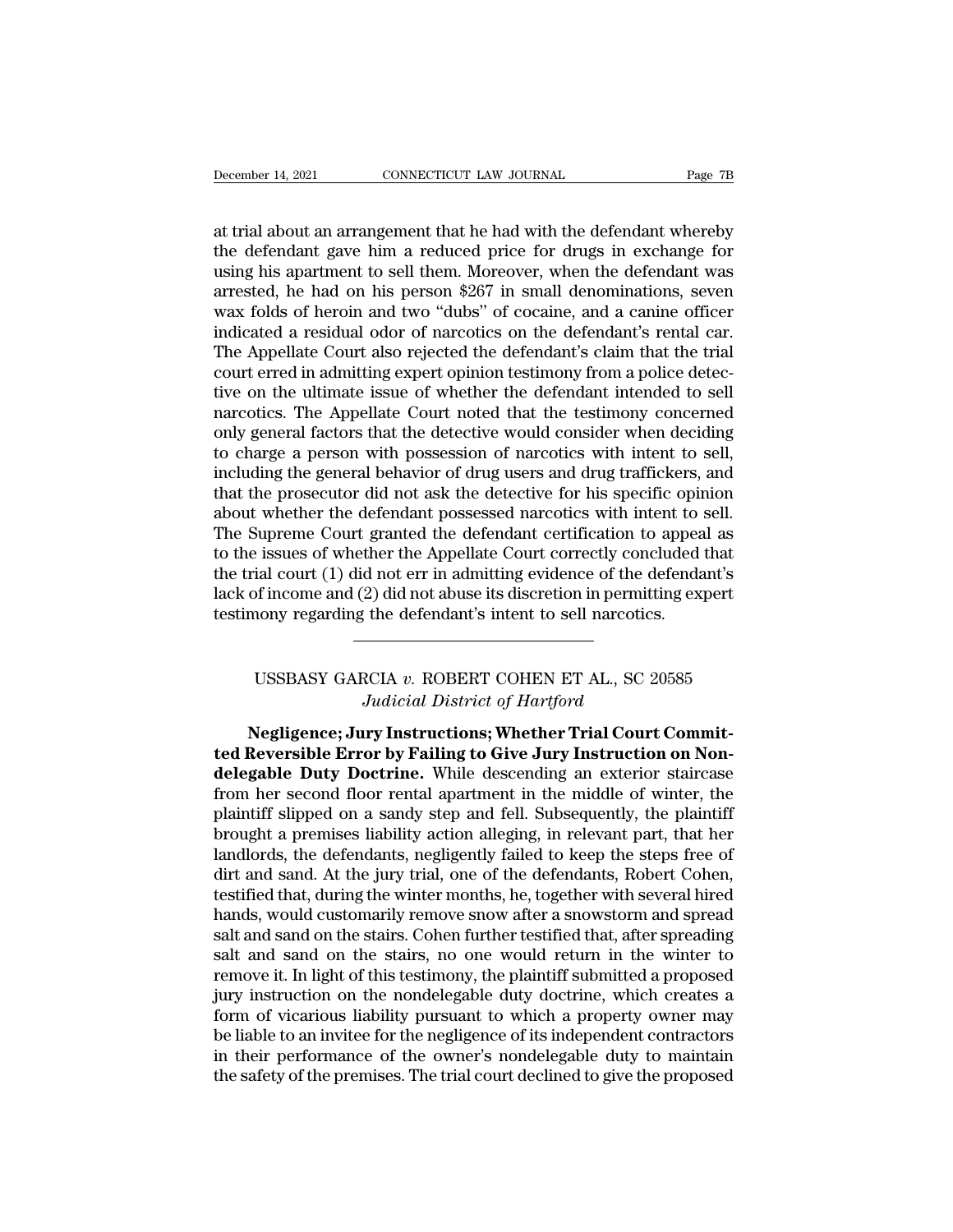December 14, 2021 CONNECTICUT LAW JOURNAL Page 7B<br>at trial about an arrangement that he had with the defendant whereby<br>the defendant gave him a reduced price for drugs in exchange for<br>using his apartment to soll them. More December 14, 2021 CONNECTICUT LAW JOURNAL Page 7B<br>at trial about an arrangement that he had with the defendant whereby<br>the defendant gave him a reduced price for drugs in exchange for<br>using his apartment to sell them. More December 14, 2021 CONNECTICUT LAW JOURNAL Page 7B<br>at trial about an arrangement that he had with the defendant whereby<br>the defendant gave him a reduced price for drugs in exchange for<br>using his apartment to sell them. More December 14, 2021 CONNECTICUT LAW JOURNAL Page 7B<br>at trial about an arrangement that he had with the defendant whereby<br>the defendant gave him a reduced price for drugs in exchange for<br>using his apartment to sell them. More at trial about an arrangement that he had with the defendant whereby<br>the defendant gave him a reduced price for drugs in exchange for<br>using his apartment to sell them. Moreover, when the defendant was<br>arrested, he had on h at trial about an arrangement that he had with the defendant whereby<br>the defendant gave him a reduced price for drugs in exchange for<br>using his apartment to sell them. Moreover, when the defendant was<br>arrested, he had on h at trial about an arrangement that he had with the defendant whereby<br>the defendant gave him a reduced price for drugs in exchange for<br>using his apartment to sell them. Moreover, when the defendant was<br>arrested, he had on h the defendant gave him a reduced price for drugs in exchange for using his apartment to sell them. Moreover, when the defendant was arrested, he had on his person \$267 in small denominations, seven wax folds of heroin and using his apartment to sell them. Moreover, when the defendant was<br>arrested, he had on his person \$267 in small denominations, seven<br>wax folds of heroin and two "dubs" of cocaine, and a canine officer<br>indicated a residual arrested, he had on his person \$267 in small denominations, seven<br>wax folds of heroin and two "dubs" of cocaine, and a canine officer<br>indicated a residual odor of narcotics on the defendant's rental car.<br>The Appellate Cour wax folds of heroin and two "dubs" of cocaine, and a canine officer<br>indicated a residual odor of narcotics on the defendant's rental car.<br>The Appellate Court also rejected the defendant's claim that the trial<br>court erred i indicated a residual odor of narcotics on the defendant's rental car.<br>The Appellate Court also rejected the defendant's claim that the trial<br>court erred in admitting expert opinion testimony from a police detec-<br>tive on th The Appellate Court also rejected the defendant's claim that the trial<br>court erred in admitting expert opinion testimony from a police detec-<br>tive on the ultimate issue of whether the defendant intended to sell<br>narcotics. court erred in admitting expert opinion testimony from a police detective on the ultimate issue of whether the defendant intended to sell narcotics. The Appellate Court noted that the testimony concerned only general facto tive on the ultimate issue of whether the defendant intended to sell narcotics. The Appellate Court noted that the testimony concerned only general factors that the detective would consider when deciding to charge a person narcotics. The Appellate Court noted that the testimony concerned<br>only general factors that the detective would consider when deciding<br>to charge a person with possession of narcotics with intent to sell,<br>including the gene only general factors that the detective would consider when deciding<br>to charge a person with possession of narcotics with intent to sell,<br>including the general behavior of drug users and drug traffickers, and<br>that the pros to charge a person with possession of narcotics with intent to sell,<br>including the general behavior of drug users and drug traffickers, and<br>that the prosecutor did not ask the detective for his specific opinion<br>about wheth including the general behavior of drug users and drug traffickers, and<br>that the prosecutor did not ask the detective for his specific opinion<br>about whether the defendant possessed narcotics with intent to sell.<br>The Supreme that the prosecutor did not ask the detective for his specific opin<br>about whether the defendant possessed narcotics with intent to<br>The Supreme Court granted the defendant certification to appea<br>to the issues of whether the Expective of whether the Appellate Court correctly concluded that<br>ial court (1) did not err in admitting evidence of the defendant's<br>of income and (2) did not abuse its discretion in permitting expert<br>nony regarding the de *d* not err in admitting evidence of the def<br>*(2) did not abuse its discretion in permittir*<br>*j* the defendant's intent to sell narcotics.<br><br>*Judicial District of Hartford*<br>*ury Instructions; Whether Trial Court (* 

Media of the defendant's intent to sell narcotics.<br>
Negligence; Jury Instructions; Whether Trial Court Commit-<br>
Regligence; Jury Instructions; Whether Trial Court Commit-<br>
Reversible Error by Failing to Give Jury Instructi **ted Reversible Error by Failing to Give Jury Instructions;**<br> **the Reversible Error by Failing to Give Jury Instruction on Non-**<br> **deligable Duty Doctrine.** While descending an exterior staircase<br> **from hor second floor re** USSBASY GARCIA *v*. ROBERT COHEN ET AL., SC 20585<br>*Judicial District of Hartford*<br>**Negligence; Jury Instructions; Whether Trial Court Commit-<br>ted Reversible Error by Failing to Give Jury Instruction on Non-<br>delegable Duty** USSBASY GARCIA v. ROBERT COHEN ET AL., SC 20585<br>Judicial District of Hartford<br>Negligence; Jury Instructions; Whether Trial Court Commit-<br>ted Reversible Error by Failing to Give Jury Instruction on Non-<br>delegable Duty Doctr Judicial District of Hartford<br>
Negligence; Jury Instructions; Whether Trial Court Commit-<br>
ted Reversible Error by Failing to Give Jury Instruction on Non-<br>
delegable Duty Doctrine. While descending an exterior staircase<br> **Example a procedure Surface Control Section American**<br>ted Reversible Error by Failing to Give Jury Instruction on Non-<br>delegable Duty Doctrine. While descending an exterior staircase<br>from her second floor rental apartment Negligence; Jury Instructions; Whether Trial Court Commit-<br>ted Reversible Error by Failing to Give Jury Instruction on Non-<br>delegable Duty Doctrine. While descending an exterior staircase<br>from her second floor rental apart ted Reversible Error by Failing to Give Jury Instruction on Non-<br>delegable Duty Doctrine. While descending an exterior staircase<br>from her second floor rental apartment in the middle of winter, the<br>plaintiff slipped on a sa delegable Duty Doctrine. While descending an exterior staircase<br>from her second floor rental apartment in the middle of winter, the<br>plaintiff slipped on a sandy step and fell. Subsequently, the plaintiff<br>brought a premises from her second floor rental apartment in the middle of winter, the plaintiff slipped on a sandy step and fell. Subsequently, the plaintiff brought a premises liability action alleging, in relevant part, that her landlords plaintiff slipped on a sandy step and fell. Subsequently, the plaintiff<br>brought a premises liability action alleging, in relevant part, that her<br>landlords, the defendants, negligently failed to keep the steps free of<br>dirt brought a premises liability action alleging, in relevant part, that her landlords, the defendants, negligently failed to keep the steps free of dirt and sand. At the jury trial, one of the defendants, Robert Cohen, testif landlords, the defendants, negligently failed to keep the steps free of<br>dirt and sand. At the jury trial, one of the defendants, Robert Cohen,<br>testified that, during the winter months, he, together with several hired<br>hands dirt and sand. At the jury trial, one of the defendants, Robert Cohen,<br>testified that, during the winter months, he, together with several hired<br>hands, would customarily remove snow after a snowstorm and spread<br>salt and sa testified that, during the winter months, he, together with several hired<br>hands, would customarily remove snow after a snowstorm and spread<br>salt and sand on the stairs. Cohen further testified that, after spreading<br>salt an hands, would customarily remove snow after a snowstorm and spread<br>salt and sand on the stairs. Cohen further testified that, after spreading<br>salt and sand on the stairs, no one would return in the winter to<br>remove it. In l salt and sand on the stairs. Cohen further testified that, after spreading<br>salt and sand on the stairs, no one would return in the winter to<br>remove it. In light of this testimony, the plaintiff submitted a proposed<br>jury in salt and sand on the stairs, no one would return in the winter to remove it. In light of this testimony, the plaintiff submitted a proposed jury instruction on the nondelegable duty doctrine, which creates a form of vicari